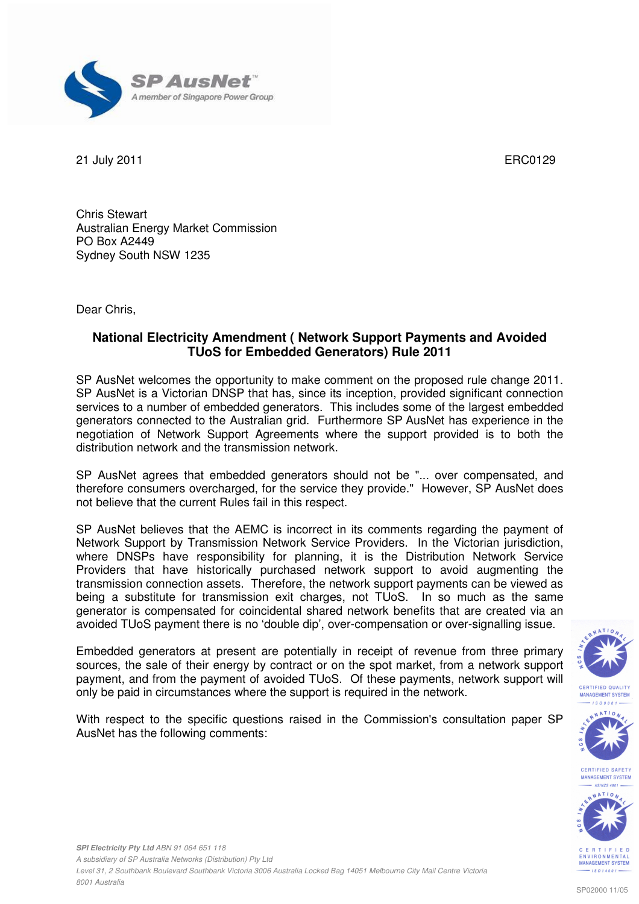

21 July 2011 ERC0129

Chris Stewart Australian Energy Market Commission PO Box A2449 Sydney South NSW 1235

Dear Chris,

## **National Electricity Amendment ( Network Support Payments and Avoided TUoS for Embedded Generators) Rule 2011**

SP AusNet welcomes the opportunity to make comment on the proposed rule change 2011. SP AusNet is a Victorian DNSP that has, since its inception, provided significant connection services to a number of embedded generators. This includes some of the largest embedded generators connected to the Australian grid. Furthermore SP AusNet has experience in the negotiation of Network Support Agreements where the support provided is to both the distribution network and the transmission network.

SP AusNet agrees that embedded generators should not be "... over compensated, and therefore consumers overcharged, for the service they provide." However, SP AusNet does not believe that the current Rules fail in this respect.

SP AusNet believes that the AEMC is incorrect in its comments regarding the payment of Network Support by Transmission Network Service Providers. In the Victorian jurisdiction, where DNSPs have responsibility for planning, it is the Distribution Network Service Providers that have historically purchased network support to avoid augmenting the transmission connection assets. Therefore, the network support payments can be viewed as being a substitute for transmission exit charges, not TUoS. In so much as the same generator is compensated for coincidental shared network benefits that are created via an avoided TUoS payment there is no 'double dip', over-compensation or over-signalling issue.

Embedded generators at present are potentially in receipt of revenue from three primary sources, the sale of their energy by contract or on the spot market, from a network support payment, and from the payment of avoided TUoS. Of these payments, network support will only be paid in circumstances where the support is required in the network.

With respect to the specific questions raised in the Commission's consultation paper SP AusNet has the following comments:





**CERTIFIED SAFETY MANAGEMENT SYSTEM** 

**MANAGEMENT SYSTEM** 

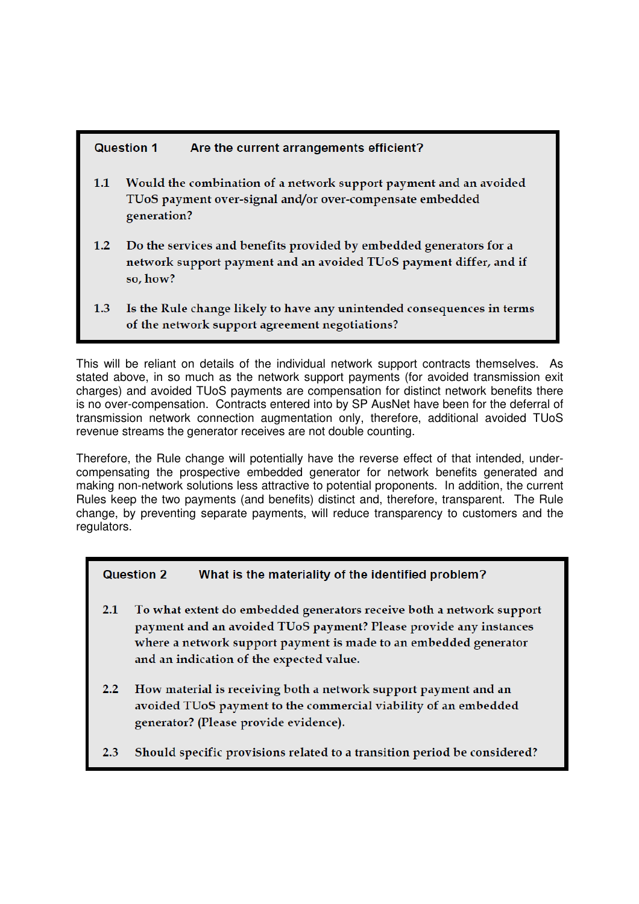## **Question 1** Are the current arrangements efficient?

- $1.1$ Would the combination of a network support payment and an avoided TUoS payment over-signal and/or over-compensate embedded generation?
- $1.2$ Do the services and benefits provided by embedded generators for a network support payment and an avoided TUoS payment differ, and if so. how?
- $1.3$ Is the Rule change likely to have any unintended consequences in terms of the network support agreement negotiations?

This will be reliant on details of the individual network support contracts themselves. As stated above, in so much as the network support payments (for avoided transmission exit charges) and avoided TUoS payments are compensation for distinct network benefits there is no over-compensation. Contracts entered into by SP AusNet have been for the deferral of transmission network connection augmentation only, therefore, additional avoided TUoS revenue streams the generator receives are not double counting.

Therefore, the Rule change will potentially have the reverse effect of that intended, undercompensating the prospective embedded generator for network benefits generated and making non-network solutions less attractive to potential proponents. In addition, the current Rules keep the two payments (and benefits) distinct and, therefore, transparent. The Rule change, by preventing separate payments, will reduce transparency to customers and the regulators.

## **Question 2** What is the materiality of the identified problem?

- $2.1$ To what extent do embedded generators receive both a network support payment and an avoided TUoS payment? Please provide any instances where a network support payment is made to an embedded generator and an indication of the expected value.
- $2.2$ How material is receiving both a network support payment and an avoided TUoS payment to the commercial viability of an embedded generator? (Please provide evidence).
- $2.3$ Should specific provisions related to a transition period be considered?